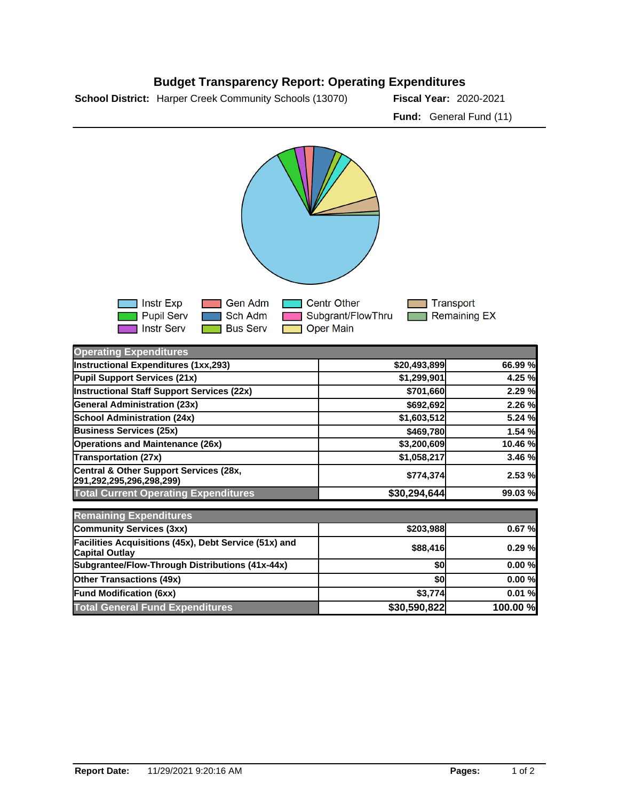



| — ∃Instr Exp   | <b>Sen Adm Centr Other</b>                                                                  | ि Transport |
|----------------|---------------------------------------------------------------------------------------------|-------------|
|                | <b>Department of School Adm Constructs</b> Subgrant/FlowThru <b>Constructs</b> Remaining EX |             |
| I ⊟ Instr Serv | <b>Example 1 Bus Server</b> The Oper Main                                                   |             |

| <b>Operating Expenditures</b>                                                  |              |          |
|--------------------------------------------------------------------------------|--------------|----------|
| Instructional Expenditures (1xx,293)                                           | \$20,493,899 | 66.99 %  |
| Pupil Support Services (21x)                                                   | \$1,299,901  | 4.25 %   |
| <b>Instructional Staff Support Services (22x)</b>                              | \$701,660    | 2.29 %   |
| <b>General Administration (23x)</b>                                            | \$692,692    | 2.26 %   |
| <b>School Administration (24x)</b>                                             | \$1,603,512  | 5.24 %   |
| <b>Business Services (25x)</b>                                                 | \$469,780    | 1.54 %   |
| <b>Operations and Maintenance (26x)</b>                                        | \$3,200,609  | 10.46 %  |
| <b>Transportation (27x)</b>                                                    | \$1,058,217  | 3.46 %   |
| Central & Other Support Services (28x,<br>291,292,295,296,298,299)             | \$774,374    | 2.53 %   |
| <b>Total Current Operating Expenditures</b>                                    | \$30,294,644 | 99.03 %  |
| <b>Remaining Expenditures</b>                                                  |              |          |
| <b>Community Services (3xx)</b>                                                | \$203,988    | 0.67%    |
| Facilities Acquisitions (45x), Debt Service (51x) and<br><b>Capital Outlay</b> | \$88,416     | 0.29%    |
| Subgrantee/Flow-Through Distributions (41x-44x)                                | \$0          | 0.00%    |
| <b>Other Transactions (49x)</b>                                                | \$0          | 0.00%    |
| <b>Fund Modification (6xx)</b>                                                 | \$3,774      | 0.01%    |
| <b>Total General Fund Expenditures</b>                                         | \$30,590,822 | 100.00 % |

## **Budget Transparency Report: Operating Expenditures**